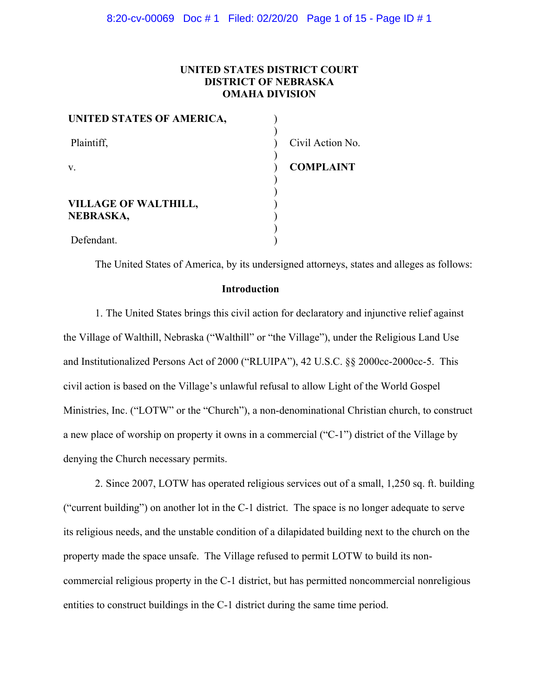# **UNITED STATES DISTRICT COURT DISTRICT OF NEBRASKA OMAHA DIVISION**

| UNITED STATES OF AMERICA,                |                  |
|------------------------------------------|------------------|
| Plaintiff,                               | Civil Action No. |
| V.                                       | <b>COMPLAINT</b> |
| <b>VILLAGE OF WALTHILL,</b><br>NEBRASKA, |                  |
| Defendant.                               |                  |

The United States of America, by its undersigned attorneys, states and alleges as follows:

#### **Introduction**

1. The United States brings this civil action for declaratory and injunctive relief against the Village of Walthill, Nebraska ("Walthill" or "the Village"), under the Religious Land Use and Institutionalized Persons Act of 2000 ("RLUIPA"), 42 U.S.C. §§ 2000cc-2000cc-5. This civil action is based on the Village's unlawful refusal to allow Light of the World Gospel Ministries, Inc. ("LOTW" or the "Church"), a non-denominational Christian church, to construct a new place of worship on property it owns in a commercial ("C-1") district of the Village by denying the Church necessary permits.

2. Since 2007, LOTW has operated religious services out of a small, 1,250 sq. ft. building ("current building") on another lot in the C-1 district. The space is no longer adequate to serve its religious needs, and the unstable condition of a dilapidated building next to the church on the property made the space unsafe. The Village refused to permit LOTW to build its noncommercial religious property in the C-1 district, but has permitted noncommercial nonreligious entities to construct buildings in the C-1 district during the same time period.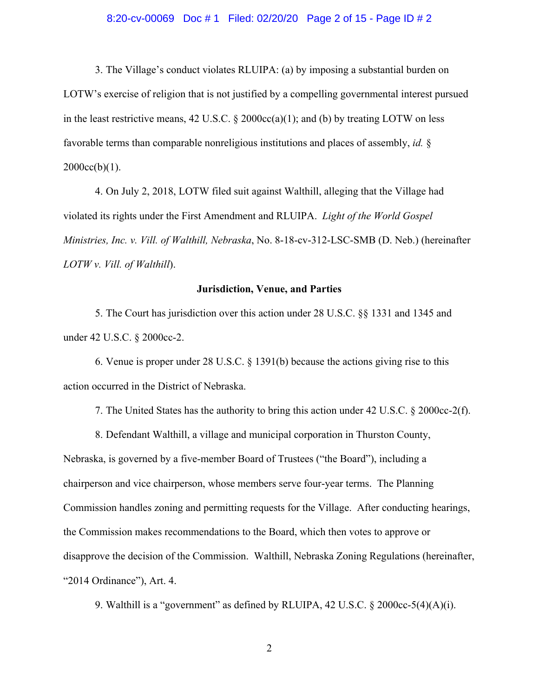#### 8:20-cv-00069 Doc # 1 Filed: 02/20/20 Page 2 of 15 - Page ID # 2

3. The Village's conduct violates RLUIPA: (a) by imposing a substantial burden on LOTW's exercise of religion that is not justified by a compelling governmental interest pursued in the least restrictive means, 42 U.S.C.  $\S 2000cc(a)(1)$ ; and (b) by treating LOTW on less favorable terms than comparable nonreligious institutions and places of assembly, *id.* §  $2000cc(b)(1)$ .

4. On July 2, 2018, LOTW filed suit against Walthill, alleging that the Village had violated its rights under the First Amendment and RLUIPA. *Light of the World Gospel Ministries, Inc. v. Vill. of Walthill, Nebraska*, No. 8-18-cv-312-LSC-SMB (D. Neb.) (hereinafter *LOTW v. Vill. of Walthill*).

### **Jurisdiction, Venue, and Parties**

5. The Court has jurisdiction over this action under 28 U.S.C. §§ 1331 and 1345 and under 42 U.S.C. § 2000cc-2.

6. Venue is proper under 28 U.S.C. § 1391(b) because the actions giving rise to this action occurred in the District of Nebraska.

7. The United States has the authority to bring this action under 42 U.S.C. § 2000cc-2(f).

8. Defendant Walthill, a village and municipal corporation in Thurston County, Nebraska, is governed by a five-member Board of Trustees ("the Board"), including a chairperson and vice chairperson, whose members serve four-year terms. The Planning Commission handles zoning and permitting requests for the Village. After conducting hearings, the Commission makes recommendations to the Board, which then votes to approve or disapprove the decision of the Commission. Walthill, Nebraska Zoning Regulations (hereinafter, "2014 Ordinance"), Art. 4.

9. Walthill is a "government" as defined by RLUIPA, 42 U.S.C. § 2000cc-5(4)(A)(i).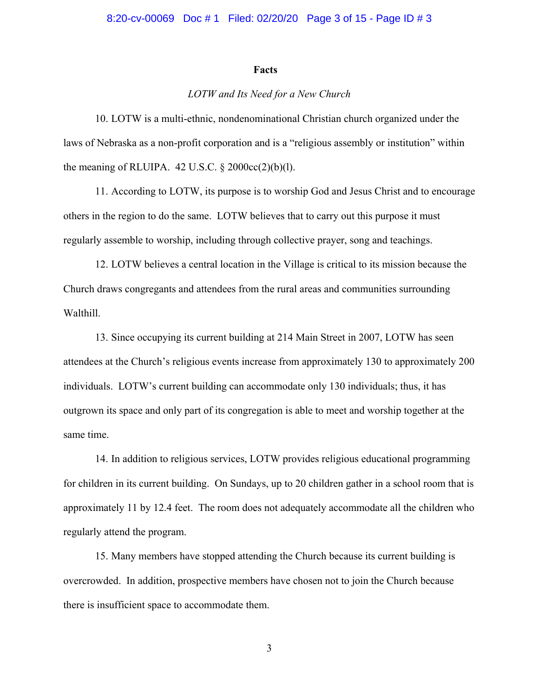### 8:20-cv-00069 Doc # 1 Filed: 02/20/20 Page 3 of 15 - Page ID # 3

#### **Facts**

# *LOTW and Its Need for a New Church*

10. LOTW is a multi-ethnic, nondenominational Christian church organized under the laws of Nebraska as a non-profit corporation and is a "religious assembly or institution" within the meaning of RLUIPA.  $42$  U.S.C.  $\S$  2000cc(2)(b)(1).

11. According to LOTW, its purpose is to worship God and Jesus Christ and to encourage others in the region to do the same. LOTW believes that to carry out this purpose it must regularly assemble to worship, including through collective prayer, song and teachings.

12. LOTW believes a central location in the Village is critical to its mission because the Church draws congregants and attendees from the rural areas and communities surrounding Walthill.

13. Since occupying its current building at 214 Main Street in 2007, LOTW has seen attendees at the Church's religious events increase from approximately 130 to approximately 200 individuals. LOTW's current building can accommodate only 130 individuals; thus, it has outgrown its space and only part of its congregation is able to meet and worship together at the same time.

14. In addition to religious services, LOTW provides religious educational programming for children in its current building. On Sundays, up to 20 children gather in a school room that is approximately 11 by 12.4 feet. The room does not adequately accommodate all the children who regularly attend the program.

15. Many members have stopped attending the Church because its current building is overcrowded. In addition, prospective members have chosen not to join the Church because there is insufficient space to accommodate them.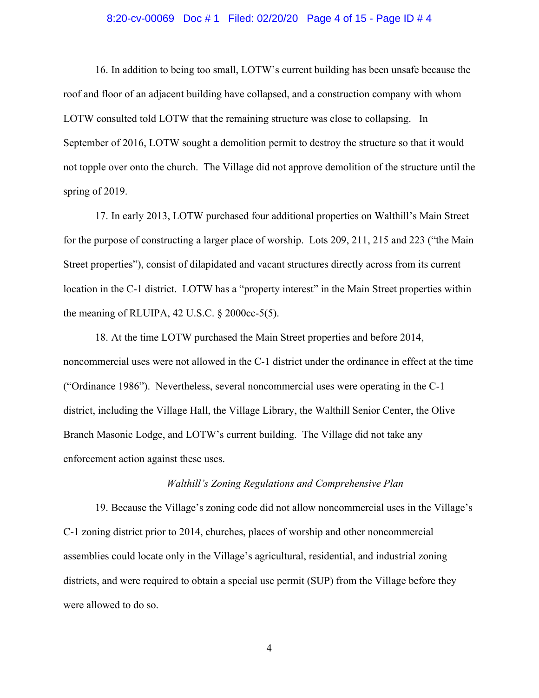### 8:20-cv-00069 Doc # 1 Filed: 02/20/20 Page 4 of 15 - Page ID # 4

16. In addition to being too small, LOTW's current building has been unsafe because the roof and floor of an adjacent building have collapsed, and a construction company with whom LOTW consulted told LOTW that the remaining structure was close to collapsing. In September of 2016, LOTW sought a demolition permit to destroy the structure so that it would not topple over onto the church. The Village did not approve demolition of the structure until the spring of 2019.

17. In early 2013, LOTW purchased four additional properties on Walthill's Main Street for the purpose of constructing a larger place of worship. Lots 209, 211, 215 and 223 ("the Main Street properties"), consist of dilapidated and vacant structures directly across from its current location in the C-1 district. LOTW has a "property interest" in the Main Street properties within the meaning of RLUIPA,  $42$  U.S.C.  $\S$  2000cc-5(5).

18. At the time LOTW purchased the Main Street properties and before 2014, noncommercial uses were not allowed in the C-1 district under the ordinance in effect at the time ("Ordinance 1986"). Nevertheless, several noncommercial uses were operating in the C-1 district, including the Village Hall, the Village Library, the Walthill Senior Center, the Olive Branch Masonic Lodge, and LOTW's current building. The Village did not take any enforcement action against these uses.

# *Walthill's Zoning Regulations and Comprehensive Plan*

19. Because the Village's zoning code did not allow noncommercial uses in the Village's C-1 zoning district prior to 2014, churches, places of worship and other noncommercial assemblies could locate only in the Village's agricultural, residential, and industrial zoning districts, and were required to obtain a special use permit (SUP) from the Village before they were allowed to do so.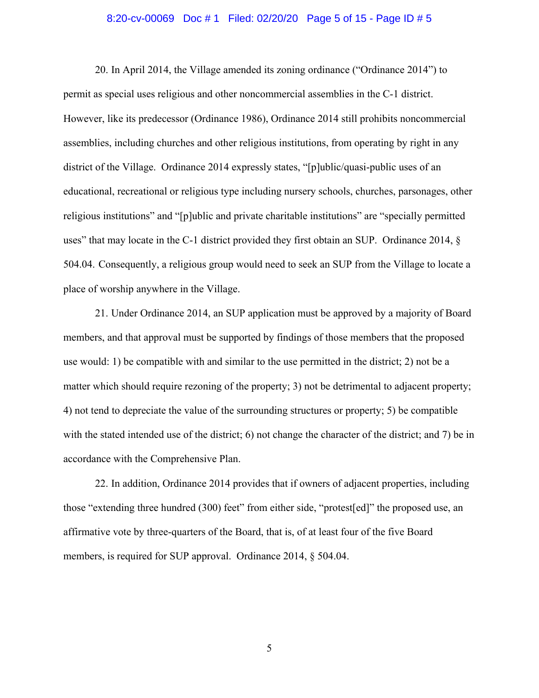#### 8:20-cv-00069 Doc # 1 Filed: 02/20/20 Page 5 of 15 - Page ID # 5

20. In April 2014, the Village amended its zoning ordinance ("Ordinance 2014") to permit as special uses religious and other noncommercial assemblies in the C-1 district. However, like its predecessor (Ordinance 1986), Ordinance 2014 still prohibits noncommercial assemblies, including churches and other religious institutions, from operating by right in any district of the Village. Ordinance 2014 expressly states, "[p]ublic/quasi-public uses of an educational, recreational or religious type including nursery schools, churches, parsonages, other religious institutions" and "[p]ublic and private charitable institutions" are "specially permitted uses" that may locate in the C-1 district provided they first obtain an SUP. Ordinance 2014, § 504.04. Consequently, a religious group would need to seek an SUP from the Village to locate a place of worship anywhere in the Village.

21. Under Ordinance 2014, an SUP application must be approved by a majority of Board members, and that approval must be supported by findings of those members that the proposed use would: 1) be compatible with and similar to the use permitted in the district; 2) not be a matter which should require rezoning of the property; 3) not be detrimental to adjacent property; 4) not tend to depreciate the value of the surrounding structures or property; 5) be compatible with the stated intended use of the district; 6) not change the character of the district; and 7) be in accordance with the Comprehensive Plan.

22. In addition, Ordinance 2014 provides that if owners of adjacent properties, including those "extending three hundred (300) feet" from either side, "protest[ed]" the proposed use, an affirmative vote by three-quarters of the Board, that is, of at least four of the five Board members, is required for SUP approval. Ordinance 2014, § 504.04.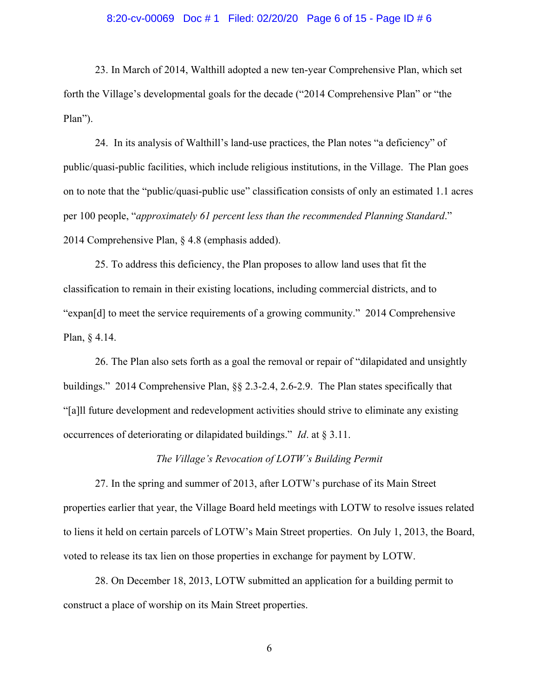### 8:20-cv-00069 Doc # 1 Filed: 02/20/20 Page 6 of 15 - Page ID # 6

23. In March of 2014, Walthill adopted a new ten-year Comprehensive Plan, which set forth the Village's developmental goals for the decade ("2014 Comprehensive Plan" or "the Plan").

24. In its analysis of Walthill's land-use practices, the Plan notes "a deficiency" of public/quasi-public facilities, which include religious institutions, in the Village. The Plan goes on to note that the "public/quasi-public use" classification consists of only an estimated 1.1 acres per 100 people, "*approximately 61 percent less than the recommended Planning Standard*." 2014 Comprehensive Plan, § 4.8 (emphasis added).

25. To address this deficiency, the Plan proposes to allow land uses that fit the classification to remain in their existing locations, including commercial districts, and to "expan[d] to meet the service requirements of a growing community." 2014 Comprehensive Plan, § 4.14.

26. The Plan also sets forth as a goal the removal or repair of "dilapidated and unsightly buildings." 2014 Comprehensive Plan, §§ 2.3-2.4, 2.6-2.9. The Plan states specifically that "[a]ll future development and redevelopment activities should strive to eliminate any existing occurrences of deteriorating or dilapidated buildings." *Id*. at § 3.11.

# *The Village's Revocation of LOTW's Building Permit*

27. In the spring and summer of 2013, after LOTW's purchase of its Main Street properties earlier that year, the Village Board held meetings with LOTW to resolve issues related to liens it held on certain parcels of LOTW's Main Street properties. On July 1, 2013, the Board, voted to release its tax lien on those properties in exchange for payment by LOTW.

28. On December 18, 2013, LOTW submitted an application for a building permit to construct a place of worship on its Main Street properties.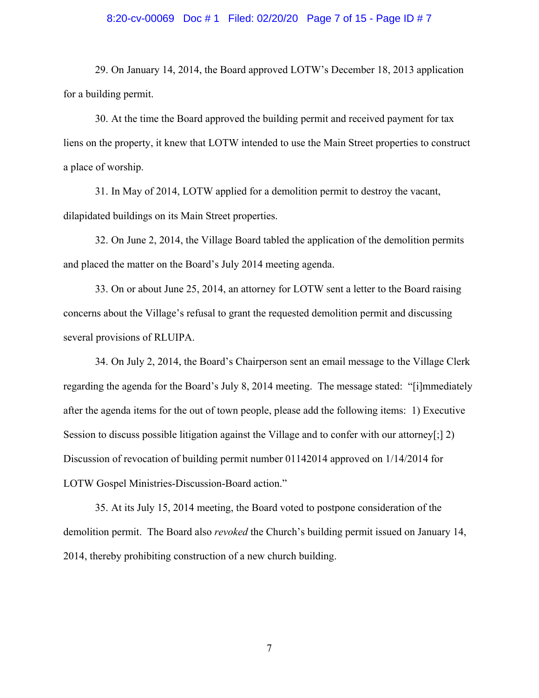### 8:20-cv-00069 Doc # 1 Filed: 02/20/20 Page 7 of 15 - Page ID # 7

29. On January 14, 2014, the Board approved LOTW's December 18, 2013 application for a building permit.

30. At the time the Board approved the building permit and received payment for tax liens on the property, it knew that LOTW intended to use the Main Street properties to construct a place of worship.

31. In May of 2014, LOTW applied for a demolition permit to destroy the vacant, dilapidated buildings on its Main Street properties.

32. On June 2, 2014, the Village Board tabled the application of the demolition permits and placed the matter on the Board's July 2014 meeting agenda.

33. On or about June 25, 2014, an attorney for LOTW sent a letter to the Board raising concerns about the Village's refusal to grant the requested demolition permit and discussing several provisions of RLUIPA.

34. On July 2, 2014, the Board's Chairperson sent an email message to the Village Clerk regarding the agenda for the Board's July 8, 2014 meeting. The message stated: "[i]mmediately after the agenda items for the out of town people, please add the following items: 1) Executive Session to discuss possible litigation against the Village and to confer with our attorney[;] 2) Discussion of revocation of building permit number 01142014 approved on 1/14/2014 for LOTW Gospel Ministries-Discussion-Board action."

35. At its July 15, 2014 meeting, the Board voted to postpone consideration of the demolition permit. The Board also *revoked* the Church's building permit issued on January 14, 2014, thereby prohibiting construction of a new church building.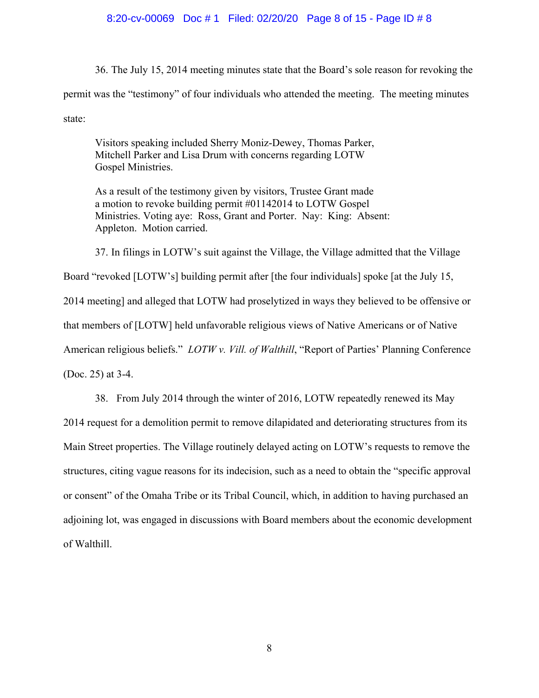### 8:20-cv-00069 Doc # 1 Filed: 02/20/20 Page 8 of 15 - Page ID # 8

36. The July 15, 2014 meeting minutes state that the Board's sole reason for revoking the permit was the "testimony" of four individuals who attended the meeting. The meeting minutes state:

Visitors speaking included Sherry Moniz-Dewey, Thomas Parker, Mitchell Parker and Lisa Drum with concerns regarding LOTW Gospel Ministries.

As a result of the testimony given by visitors, Trustee Grant made a motion to revoke building permit #01142014 to LOTW Gospel Ministries. Voting aye: Ross, Grant and Porter. Nay: King: Absent: Appleton. Motion carried.

37. In filings in LOTW's suit against the Village, the Village admitted that the Village Board "revoked [LOTW's] building permit after [the four individuals] spoke [at the July 15, 2014 meeting] and alleged that LOTW had proselytized in ways they believed to be offensive or that members of [LOTW] held unfavorable religious views of Native Americans or of Native American religious beliefs." *LOTW v. Vill. of Walthill*, "Report of Parties' Planning Conference (Doc. 25) at 3-4.

38. From July 2014 through the winter of 2016, LOTW repeatedly renewed its May 2014 request for a demolition permit to remove dilapidated and deteriorating structures from its Main Street properties. The Village routinely delayed acting on LOTW's requests to remove the structures, citing vague reasons for its indecision, such as a need to obtain the "specific approval or consent" of the Omaha Tribe or its Tribal Council, which, in addition to having purchased an adjoining lot, was engaged in discussions with Board members about the economic development of Walthill.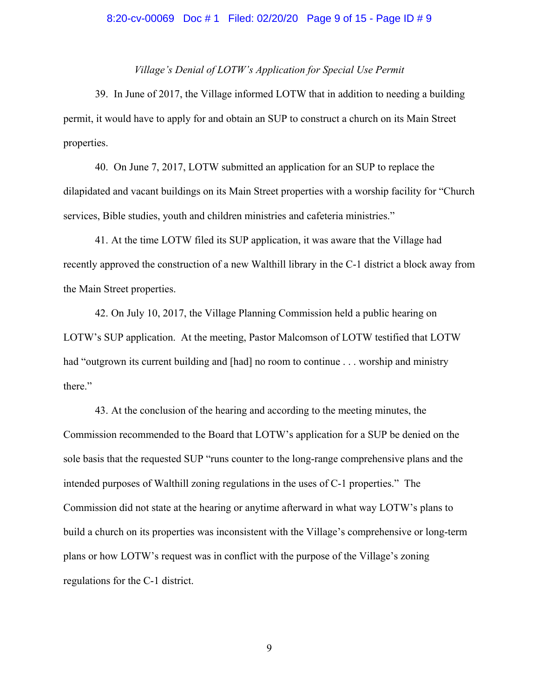# 8:20-cv-00069 Doc # 1 Filed: 02/20/20 Page 9 of 15 - Page ID # 9

### *Village's Denial of LOTW's Application for Special Use Permit*

39. In June of 2017, the Village informed LOTW that in addition to needing a building permit, it would have to apply for and obtain an SUP to construct a church on its Main Street properties.

40. On June 7, 2017, LOTW submitted an application for an SUP to replace the dilapidated and vacant buildings on its Main Street properties with a worship facility for "Church services, Bible studies, youth and children ministries and cafeteria ministries."

41. At the time LOTW filed its SUP application, it was aware that the Village had recently approved the construction of a new Walthill library in the C-1 district a block away from the Main Street properties.

42. On July 10, 2017, the Village Planning Commission held a public hearing on LOTW's SUP application. At the meeting, Pastor Malcomson of LOTW testified that LOTW had "outgrown its current building and [had] no room to continue . . . worship and ministry there."

43. At the conclusion of the hearing and according to the meeting minutes, the Commission recommended to the Board that LOTW's application for a SUP be denied on the sole basis that the requested SUP "runs counter to the long-range comprehensive plans and the intended purposes of Walthill zoning regulations in the uses of C-1 properties." The Commission did not state at the hearing or anytime afterward in what way LOTW's plans to build a church on its properties was inconsistent with the Village's comprehensive or long-term plans or how LOTW's request was in conflict with the purpose of the Village's zoning regulations for the C-1 district.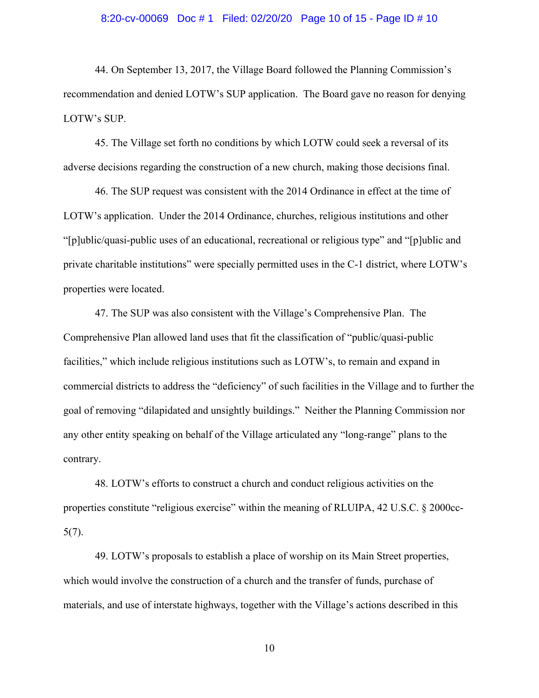#### 8:20-cv-00069 Doc # 1 Filed: 02/20/20 Page 10 of 15 - Page ID # 10

44. On September 13, 2017, the Village Board followed the Planning Commission's recommendation and denied LOTW's SUP application. The Board gave no reason for denying LOTW's SUP.

45. The Village set forth no conditions by which LOTW could seek a reversal of its adverse decisions regarding the construction of a new church, making those decisions final.

46. The SUP request was consistent with the 2014 Ordinance in effect at the time of LOTW's application. Under the 2014 Ordinance, churches, religious institutions and other "[p]ublic/quasi-public uses of an educational, recreational or religious type" and "[p]ublic and private charitable institutions" were specially permitted uses in the C-1 district, where LOTW's properties were located.

47. The SUP was also consistent with the Village's Comprehensive Plan. The Comprehensive Plan allowed land uses that fit the classification of "public/quasi-public facilities," which include religious institutions such as LOTW's, to remain and expand in commercial districts to address the "deficiency" of such facilities in the Village and to further the goal of removing "dilapidated and unsightly buildings." Neither the Planning Commission nor any other entity speaking on behalf of the Village articulated any "long-range" plans to the contrary.

48. LOTW's efforts to construct a church and conduct religious activities on the properties constitute "religious exercise" within the meaning of RLUIPA, 42 U.S.C. § 2000cc-5(7).

49. LOTW's proposals to establish a place of worship on its Main Street properties, which would involve the construction of a church and the transfer of funds, purchase of materials, and use of interstate highways, together with the Village's actions described in this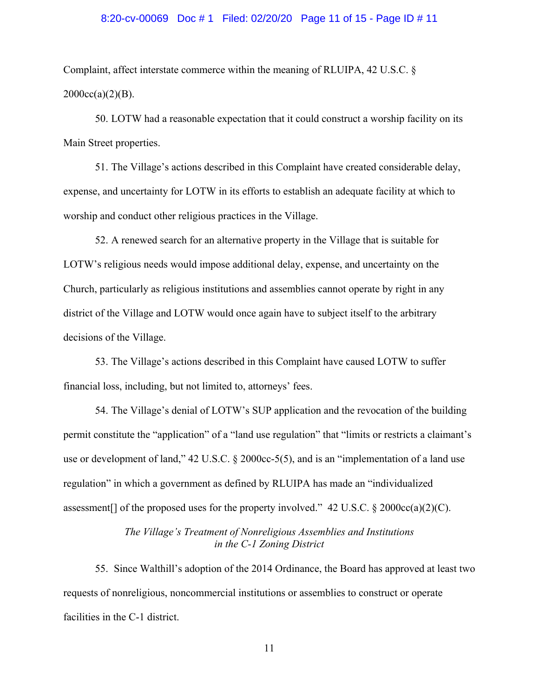#### 8:20-cv-00069 Doc # 1 Filed: 02/20/20 Page 11 of 15 - Page ID # 11

Complaint, affect interstate commerce within the meaning of RLUIPA, 42 U.S.C. §  $2000cc(a)(2)(B)$ .

50. LOTW had a reasonable expectation that it could construct a worship facility on its Main Street properties.

51. The Village's actions described in this Complaint have created considerable delay, expense, and uncertainty for LOTW in its efforts to establish an adequate facility at which to worship and conduct other religious practices in the Village.

52. A renewed search for an alternative property in the Village that is suitable for LOTW's religious needs would impose additional delay, expense, and uncertainty on the Church, particularly as religious institutions and assemblies cannot operate by right in any district of the Village and LOTW would once again have to subject itself to the arbitrary decisions of the Village.

53. The Village's actions described in this Complaint have caused LOTW to suffer financial loss, including, but not limited to, attorneys' fees.

54. The Village's denial of LOTW's SUP application and the revocation of the building permit constitute the "application" of a "land use regulation" that "limits or restricts a claimant's use or development of land," 42 U.S.C. § 2000cc-5(5), and is an "implementation of a land use regulation" in which a government as defined by RLUIPA has made an "individualized assessment of the proposed uses for the property involved." 42 U.S.C.  $\S 2000cc(a)(2)(C)$ .

> *The Village's Treatment of Nonreligious Assemblies and Institutions in the C-1 Zoning District*

55. Since Walthill's adoption of the 2014 Ordinance, the Board has approved at least two requests of nonreligious, noncommercial institutions or assemblies to construct or operate facilities in the C-1 district.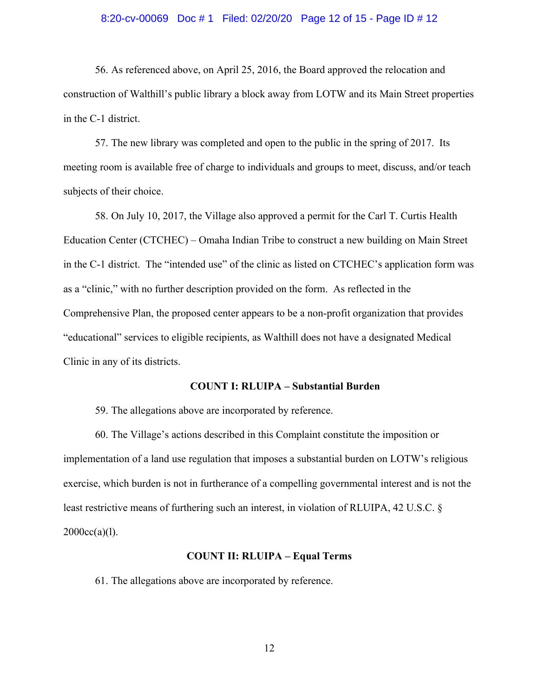#### 8:20-cv-00069 Doc # 1 Filed: 02/20/20 Page 12 of 15 - Page ID # 12

56. As referenced above, on April 25, 2016, the Board approved the relocation and construction of Walthill's public library a block away from LOTW and its Main Street properties in the C-1 district.

57. The new library was completed and open to the public in the spring of 2017. Its meeting room is available free of charge to individuals and groups to meet, discuss, and/or teach subjects of their choice.

58. On July 10, 2017, the Village also approved a permit for the Carl T. Curtis Health Education Center (CTCHEC) – Omaha Indian Tribe to construct a new building on Main Street in the C-1 district. The "intended use" of the clinic as listed on CTCHEC's application form was as a "clinic," with no further description provided on the form. As reflected in the Comprehensive Plan, the proposed center appears to be a non-profit organization that provides "educational" services to eligible recipients, as Walthill does not have a designated Medical Clinic in any of its districts.

# **COUNT I: RLUIPA – Substantial Burden**

59. The allegations above are incorporated by reference.

60. The Village's actions described in this Complaint constitute the imposition or implementation of a land use regulation that imposes a substantial burden on LOTW's religious exercise, which burden is not in furtherance of a compelling governmental interest and is not the least restrictive means of furthering such an interest, in violation of RLUIPA, 42 U.S.C. §  $2000cc(a)(1)$ .

#### **COUNT II: RLUIPA – Equal Terms**

61. The allegations above are incorporated by reference.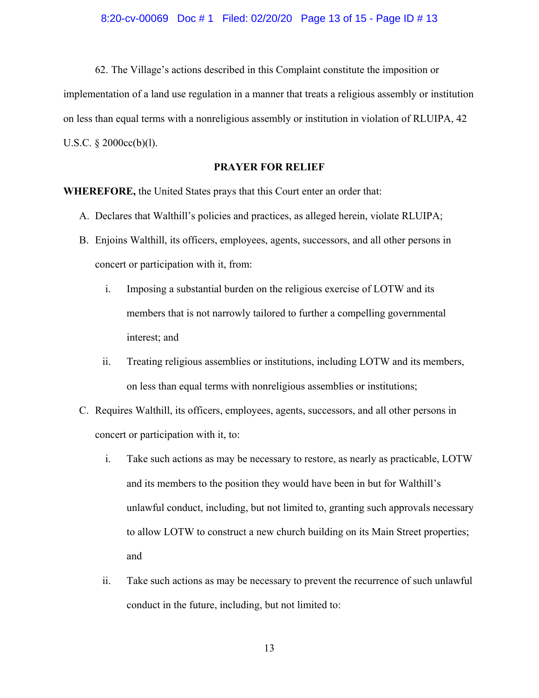#### 8:20-cv-00069 Doc # 1 Filed: 02/20/20 Page 13 of 15 - Page ID # 13

62. The Village's actions described in this Complaint constitute the imposition or implementation of a land use regulation in a manner that treats a religious assembly or institution on less than equal terms with a nonreligious assembly or institution in violation of RLUIPA, 42 U.S.C. § 2000cc(b)(l).

# **PRAYER FOR RELIEF**

**WHEREFORE,** the United States prays that this Court enter an order that:

- A. Declares that Walthill's policies and practices, as alleged herein, violate RLUIPA;
- B. Enjoins Walthill, its officers, employees, agents, successors, and all other persons in concert or participation with it, from:
	- i. Imposing a substantial burden on the religious exercise of LOTW and its members that is not narrowly tailored to further a compelling governmental interest; and
	- ii. Treating religious assemblies or institutions, including LOTW and its members, on less than equal terms with nonreligious assemblies or institutions;
- C. Requires Walthill, its officers, employees, agents, successors, and all other persons in concert or participation with it, to:
	- i. Take such actions as may be necessary to restore, as nearly as practicable, LOTW and its members to the position they would have been in but for Walthill's unlawful conduct, including, but not limited to, granting such approvals necessary to allow LOTW to construct a new church building on its Main Street properties; and
	- ii. Take such actions as may be necessary to prevent the recurrence of such unlawful conduct in the future, including, but not limited to: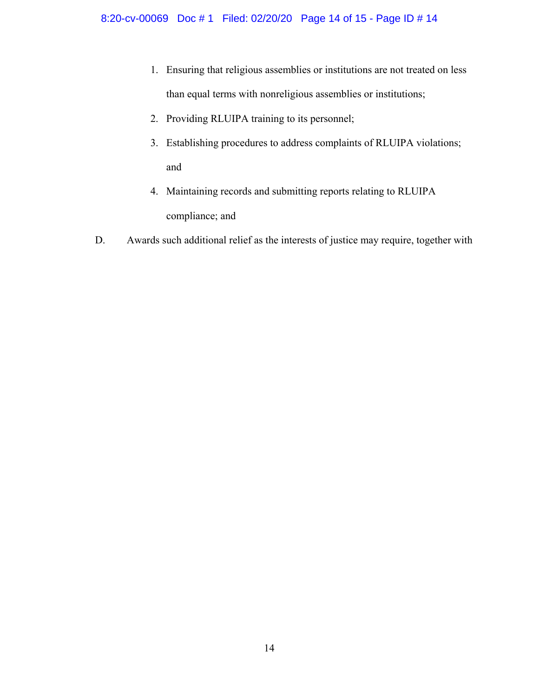- 1. Ensuring that religious assemblies or institutions are not treated on less than equal terms with nonreligious assemblies or institutions;
- 2. Providing RLUIPA training to its personnel;
- 3. Establishing procedures to address complaints of RLUIPA violations; and
- 4. Maintaining records and submitting reports relating to RLUIPA compliance; and
- D. Awards such additional relief as the interests of justice may require, together with